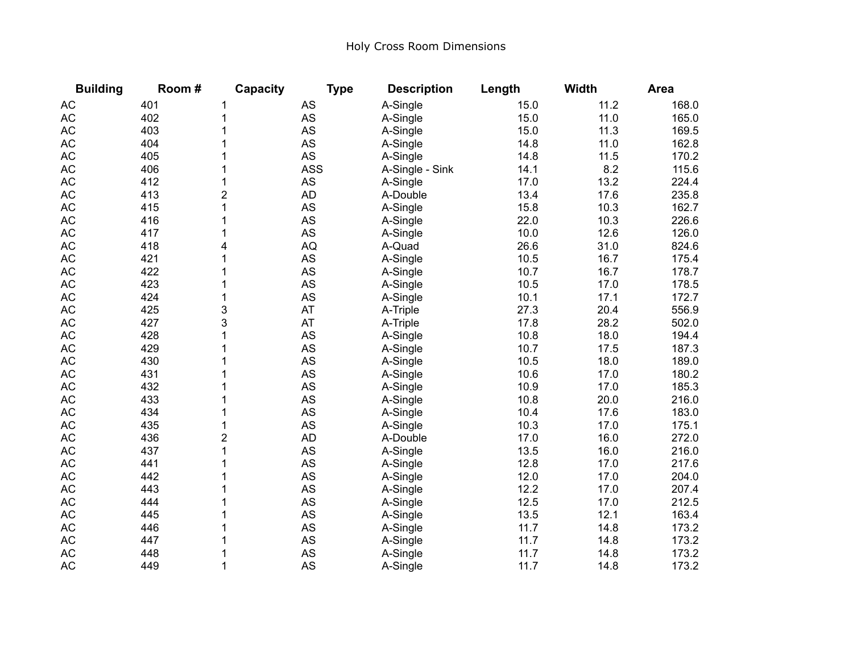## Holy Cross Room Dimensions

| <b>Building</b> | Room# | Capacity       | <b>Type</b> | <b>Description</b> | Length | <b>Width</b> | <b>Area</b> |
|-----------------|-------|----------------|-------------|--------------------|--------|--------------|-------------|
| <b>AC</b>       | 401   | 1              | AS          | A-Single           | 15.0   | 11.2         | 168.0       |
| <b>AC</b>       | 402   | 1              | AS          | A-Single           | 15.0   | 11.0         | 165.0       |
| <b>AC</b>       | 403   | 1              | AS          | A-Single           | 15.0   | 11.3         | 169.5       |
| <b>AC</b>       | 404   | 1              | <b>AS</b>   | A-Single           | 14.8   | 11.0         | 162.8       |
| <b>AC</b>       | 405   |                | <b>AS</b>   | A-Single           | 14.8   | 11.5         | 170.2       |
| <b>AC</b>       | 406   | 1              | <b>ASS</b>  | A-Single - Sink    | 14.1   | 8.2          | 115.6       |
| <b>AC</b>       | 412   | 1              | AS          | A-Single           | 17.0   | 13.2         | 224.4       |
| <b>AC</b>       | 413   | $\overline{2}$ | <b>AD</b>   | A-Double           | 13.4   | 17.6         | 235.8       |
| <b>AC</b>       | 415   | 1              | <b>AS</b>   | A-Single           | 15.8   | 10.3         | 162.7       |
| <b>AC</b>       | 416   | 1              | <b>AS</b>   | A-Single           | 22.0   | 10.3         | 226.6       |
| <b>AC</b>       | 417   | 1              | AS          | A-Single           | 10.0   | 12.6         | 126.0       |
| <b>AC</b>       | 418   | 4              | AQ          | A-Quad             | 26.6   | 31.0         | 824.6       |
| <b>AC</b>       | 421   | 1              | AS          | A-Single           | 10.5   | 16.7         | 175.4       |
| <b>AC</b>       | 422   | 1              | <b>AS</b>   | A-Single           | 10.7   | 16.7         | 178.7       |
| <b>AC</b>       | 423   | 1              | AS          | A-Single           | 10.5   | 17.0         | 178.5       |
| <b>AC</b>       | 424   | 1              | AS          | A-Single           | 10.1   | 17.1         | 172.7       |
| <b>AC</b>       | 425   | 3              | AT          | A-Triple           | 27.3   | 20.4         | 556.9       |
| <b>AC</b>       | 427   | 3              | AT          | A-Triple           | 17.8   | 28.2         | 502.0       |
| <b>AC</b>       | 428   | 1              | AS          | A-Single           | 10.8   | 18.0         | 194.4       |
| <b>AC</b>       | 429   |                | <b>AS</b>   | A-Single           | 10.7   | 17.5         | 187.3       |
| <b>AC</b>       | 430   |                | AS          | A-Single           | 10.5   | 18.0         | 189.0       |
| <b>AC</b>       | 431   | 1              | AS          | A-Single           | 10.6   | 17.0         | 180.2       |
| <b>AC</b>       | 432   | 1              | AS          | A-Single           | 10.9   | 17.0         | 185.3       |
| AC              | 433   | 1              | <b>AS</b>   | A-Single           | 10.8   | 20.0         | 216.0       |
| <b>AC</b>       | 434   | 1              | AS          | A-Single           | 10.4   | 17.6         | 183.0       |
| <b>AC</b>       | 435   | 1              | <b>AS</b>   | A-Single           | 10.3   | 17.0         | 175.1       |
| <b>AC</b>       | 436   | $\overline{2}$ | <b>AD</b>   | A-Double           | 17.0   | 16.0         | 272.0       |
| <b>AC</b>       | 437   | 1              | <b>AS</b>   | A-Single           | 13.5   | 16.0         | 216.0       |
| <b>AC</b>       | 441   |                | <b>AS</b>   | A-Single           | 12.8   | 17.0         | 217.6       |
| <b>AC</b>       | 442   |                | <b>AS</b>   | A-Single           | 12.0   | 17.0         | 204.0       |
| <b>AC</b>       | 443   | 1              | <b>AS</b>   | A-Single           | 12.2   | 17.0         | 207.4       |
| <b>AC</b>       | 444   | 1              | <b>AS</b>   | A-Single           | 12.5   | 17.0         | 212.5       |
| <b>AC</b>       | 445   |                | <b>AS</b>   | A-Single           | 13.5   | 12.1         | 163.4       |
| <b>AC</b>       | 446   | 1              | AS          | A-Single           | 11.7   | 14.8         | 173.2       |
| <b>AC</b>       | 447   |                | <b>AS</b>   | A-Single           | 11.7   | 14.8         | 173.2       |
| <b>AC</b>       | 448   | 1              | AS          | A-Single           | 11.7   | 14.8         | 173.2       |
| <b>AC</b>       | 449   | 1              | <b>AS</b>   | A-Single           | 11.7   | 14.8         | 173.2       |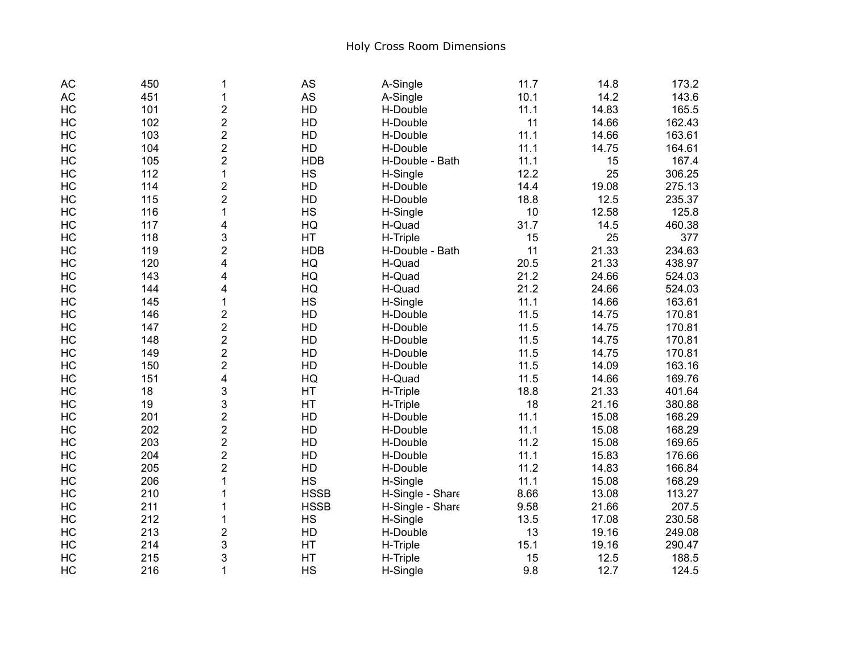| <b>AC</b> | 450 | 1                       | <b>AS</b>   | A-Single         | 11.7 | 14.8  | 173.2  |
|-----------|-----|-------------------------|-------------|------------------|------|-------|--------|
| <b>AC</b> | 451 | 1                       | AS          | A-Single         | 10.1 | 14.2  | 143.6  |
| HC        | 101 | $\overline{2}$          | HD          | H-Double         | 11.1 | 14.83 | 165.5  |
| HC        | 102 | $\overline{2}$          | HD          | H-Double         | 11   | 14.66 | 162.43 |
| HC        | 103 | $\overline{2}$          | HD          | H-Double         | 11.1 | 14.66 | 163.61 |
| HC        | 104 | $\overline{\mathbf{c}}$ | HD          | H-Double         | 11.1 | 14.75 | 164.61 |
| HC        | 105 | $\overline{2}$          | <b>HDB</b>  | H-Double - Bath  | 11.1 | 15    | 167.4  |
| HC        | 112 | $\mathbf{1}$            | <b>HS</b>   | H-Single         | 12.2 | 25    | 306.25 |
| HC        | 114 | $\overline{\mathbf{c}}$ | HD          | H-Double         | 14.4 | 19.08 | 275.13 |
| HC        | 115 | $\overline{2}$          | HD          | H-Double         | 18.8 | 12.5  | 235.37 |
| HC        | 116 | $\mathbf{1}$            | <b>HS</b>   | H-Single         | 10   | 12.58 | 125.8  |
| HC        | 117 | 4                       | HQ          | H-Quad           | 31.7 | 14.5  | 460.38 |
| HC        | 118 | 3                       | HT          | H-Triple         | 15   | 25    | 377    |
| HC        | 119 | $\overline{2}$          | <b>HDB</b>  | H-Double - Bath  | 11   | 21.33 | 234.63 |
| HC        | 120 | 4                       | HQ          | H-Quad           | 20.5 | 21.33 | 438.97 |
| HC        | 143 | 4                       | HQ          | H-Quad           | 21.2 | 24.66 | 524.03 |
| HC        | 144 | 4                       | HG          | H-Quad           | 21.2 | 24.66 | 524.03 |
| HC        | 145 | 1                       | <b>HS</b>   | H-Single         | 11.1 | 14.66 | 163.61 |
| HC        | 146 | $\overline{c}$          | HD          | H-Double         | 11.5 | 14.75 | 170.81 |
| HC        | 147 | $\overline{\mathbf{c}}$ | HD          | H-Double         | 11.5 | 14.75 | 170.81 |
| HC        | 148 | $\overline{2}$          | HD          | H-Double         | 11.5 | 14.75 | 170.81 |
| HC        | 149 | $\overline{2}$          | HD          | H-Double         | 11.5 | 14.75 | 170.81 |
| HC        | 150 | $\overline{2}$          | HD          | H-Double         | 11.5 | 14.09 | 163.16 |
| HC        | 151 | $\overline{\mathbf{4}}$ | HQ          | H-Quad           | 11.5 | 14.66 | 169.76 |
| HC        | 18  | 3                       | HT          | H-Triple         | 18.8 | 21.33 | 401.64 |
| HC        | 19  | 3                       | HT          | H-Triple         | 18   | 21.16 | 380.88 |
| HC        | 201 | $\overline{\mathbf{c}}$ | HD          | H-Double         | 11.1 | 15.08 | 168.29 |
| HC        | 202 | $\overline{c}$          | HD          | H-Double         | 11.1 | 15.08 | 168.29 |
| HC        | 203 | $\overline{2}$          | HD          | H-Double         | 11.2 | 15.08 | 169.65 |
| HC        | 204 | $\overline{2}$          | HD          | H-Double         | 11.1 | 15.83 | 176.66 |
| HC        | 205 | $\overline{2}$          | HD          | H-Double         | 11.2 | 14.83 | 166.84 |
| HC        | 206 | 1                       | <b>HS</b>   | H-Single         | 11.1 | 15.08 | 168.29 |
| HC        | 210 |                         | <b>HSSB</b> | H-Single - Share | 8.66 | 13.08 | 113.27 |
| HC        | 211 |                         | <b>HSSB</b> | H-Single - Share | 9.58 | 21.66 | 207.5  |
| HC        | 212 | 1                       | <b>HS</b>   | H-Single         | 13.5 | 17.08 | 230.58 |
| HC        | 213 | 2                       | HD          | H-Double         | 13   | 19.16 | 249.08 |
| HC        | 214 | 3                       | HT          | H-Triple         | 15.1 | 19.16 | 290.47 |
| HC        | 215 | 3                       | HT          | H-Triple         | 15   | 12.5  | 188.5  |
| HC        | 216 | 1                       | <b>HS</b>   | H-Single         | 9.8  | 12.7  | 124.5  |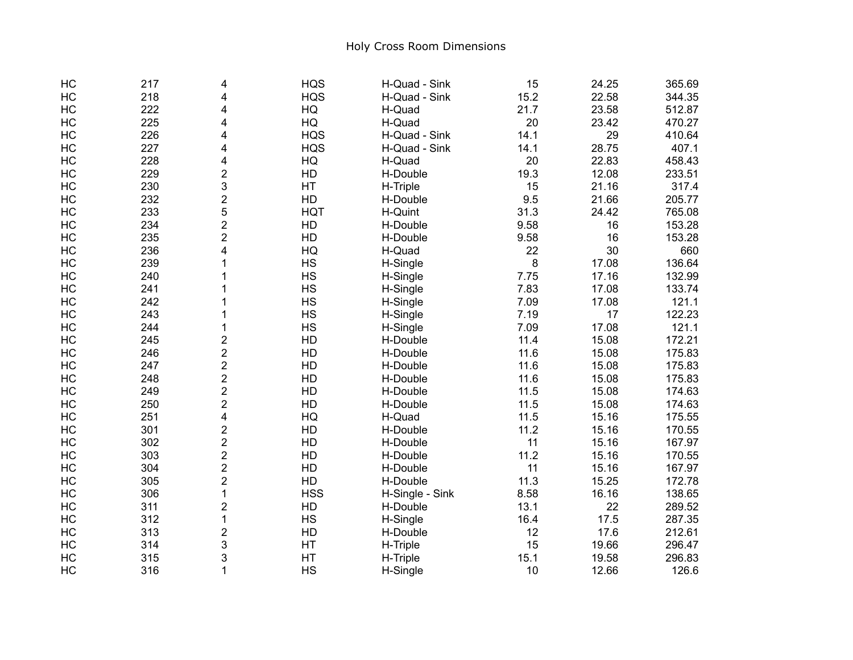| HC | 217 | 4                       | <b>HQS</b> | H-Quad - Sink   | 15   | 24.25 | 365.69 |
|----|-----|-------------------------|------------|-----------------|------|-------|--------|
| HC | 218 | 4                       | <b>HQS</b> | H-Quad - Sink   | 15.2 | 22.58 | 344.35 |
| HC | 222 | 4                       | HG         | H-Quad          | 21.7 | 23.58 | 512.87 |
| HC | 225 | 4                       | HQ         | H-Quad          | 20   | 23.42 | 470.27 |
| HC | 226 | 4                       | <b>HQS</b> | H-Quad - Sink   | 14.1 | 29    | 410.64 |
| HC | 227 | 4                       | <b>HQS</b> | H-Quad - Sink   | 14.1 | 28.75 | 407.1  |
| HC | 228 | 4                       | HQ         | H-Quad          | 20   | 22.83 | 458.43 |
| HC | 229 | $\overline{2}$          | HD         | H-Double        | 19.3 | 12.08 | 233.51 |
| HC | 230 | 3                       | HT         | H-Triple        | 15   | 21.16 | 317.4  |
| HC | 232 | $\overline{2}$          | HD         | H-Double        | 9.5  | 21.66 | 205.77 |
| HC | 233 | 5                       | <b>HQT</b> | H-Quint         | 31.3 | 24.42 | 765.08 |
| HC | 234 | $\overline{2}$          | HD         | H-Double        | 9.58 | 16    | 153.28 |
| HC | 235 | $\overline{2}$          | HD         | H-Double        | 9.58 | 16    | 153.28 |
| HC | 236 | 4                       | HQ         | H-Quad          | 22   | 30    | 660    |
| HC | 239 | 1                       | <b>HS</b>  | H-Single        | 8    | 17.08 | 136.64 |
| HC | 240 | 1                       | <b>HS</b>  | H-Single        | 7.75 | 17.16 | 132.99 |
| HC | 241 | 1                       | <b>HS</b>  | H-Single        | 7.83 | 17.08 | 133.74 |
| HC | 242 | 1                       | <b>HS</b>  | H-Single        | 7.09 | 17.08 | 121.1  |
| HC | 243 | 1                       | <b>HS</b>  | H-Single        | 7.19 | 17    | 122.23 |
| HC | 244 | 1                       | <b>HS</b>  | H-Single        | 7.09 | 17.08 | 121.1  |
| HC | 245 | 2                       | HD         | H-Double        | 11.4 | 15.08 | 172.21 |
| HC | 246 | $\overline{\mathbf{c}}$ | HD         | H-Double        | 11.6 | 15.08 | 175.83 |
| HC | 247 | $\overline{2}$          | HD         | H-Double        | 11.6 | 15.08 | 175.83 |
| HC | 248 | $\overline{2}$          | HD         | H-Double        | 11.6 | 15.08 | 175.83 |
| HC | 249 | $\overline{2}$          | HD         | H-Double        | 11.5 | 15.08 | 174.63 |
| HC | 250 | $\overline{\mathbf{c}}$ | HD         | H-Double        | 11.5 | 15.08 | 174.63 |
| HC | 251 | 4                       | HG         | H-Quad          | 11.5 | 15.16 | 175.55 |
| HC | 301 | $\overline{\mathbf{c}}$ | HD         | H-Double        | 11.2 | 15.16 | 170.55 |
| HC | 302 | $\overline{\mathbf{c}}$ | HD         | H-Double        | 11   | 15.16 | 167.97 |
| HC | 303 | $\overline{2}$          | HD         | H-Double        | 11.2 | 15.16 | 170.55 |
| HC | 304 | $\overline{2}$          | HD         | H-Double        | 11   | 15.16 | 167.97 |
| HC | 305 | $\overline{2}$          | HD         | H-Double        | 11.3 | 15.25 | 172.78 |
| HC | 306 | $\mathbf{1}$            | <b>HSS</b> | H-Single - Sink | 8.58 | 16.16 | 138.65 |
| HC | 311 | $\overline{2}$          | HD         | H-Double        | 13.1 | 22    | 289.52 |
| HC | 312 | $\mathbf{1}$            | <b>HS</b>  | H-Single        | 16.4 | 17.5  | 287.35 |
| HC | 313 | $\overline{2}$          | HD         | H-Double        | 12   | 17.6  | 212.61 |
| HC | 314 | 3                       | HT         | H-Triple        | 15   | 19.66 | 296.47 |
| HC | 315 | 3                       | HT         | H-Triple        | 15.1 | 19.58 | 296.83 |
| HC | 316 | $\mathbf{1}$            | <b>HS</b>  | H-Single        | 10   | 12.66 | 126.6  |